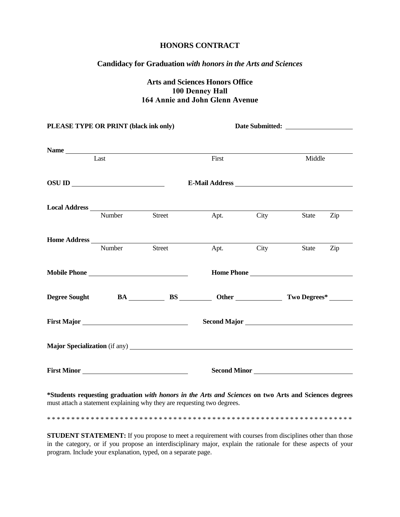## **HONORS CONTRACT**

## **Candidacy for Graduation** *with honors in the Arts and Sciences*

## **Arts and Sciences Honors Office 100 Denney Hall 164 Annie and John Glenn Avenue**

| PLEASE TYPE OR PRINT (black ink only) |        |                                        |                |           |              |     |  |
|---------------------------------------|--------|----------------------------------------|----------------|-----------|--------------|-----|--|
|                                       |        |                                        |                |           |              |     |  |
|                                       | Last   |                                        | First          |           | Middle       |     |  |
| $OSU$ ID $\qquad \qquad$              |        |                                        | E-Mail Address |           |              |     |  |
|                                       | Number | Street                                 |                | Apt. City | <b>State</b> | Zip |  |
|                                       |        | Number Street                          |                | Apt. City | State        | Zip |  |
|                                       |        | Mobile Phone                           |                |           |              |     |  |
|                                       |        | Degree Sought BA BS Other Two Degrees* |                |           |              |     |  |
|                                       |        |                                        |                |           |              |     |  |
|                                       |        |                                        |                |           |              |     |  |
|                                       |        | First Minor                            |                |           | Second Minor |     |  |
|                                       |        |                                        |                |           |              |     |  |

**\*Students requesting graduation** *with honors in the Arts and Sciences* **on two Arts and Sciences degrees** must attach a statement explaining why they are requesting two degrees.

\* \* \* \* \* \* \* \* \* \* \* \* \* \* \* \* \* \* \* \* \* \* \* \* \* \* \* \* \* \* \* \* \* \* \* \* \* \* \* \* \* \* \* \* \* \* \* \* \* \* \* \* \* \* \* \* \* \* \* \* \* \* \*

**STUDENT STATEMENT:** If you propose to meet a requirement with courses from disciplines other than those in the category, or if you propose an interdisciplinary major, explain the rationale for these aspects of your program. Include your explanation, typed, on a separate page.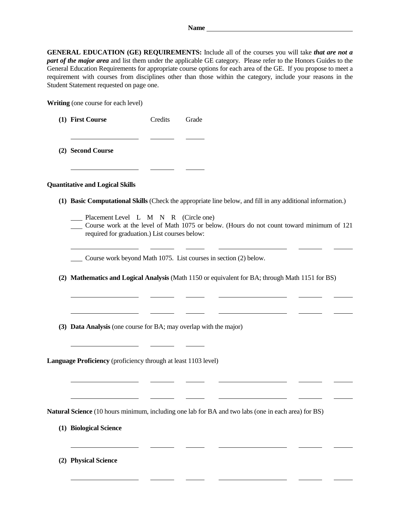| <b>GENERAL EDUCATION (GE) REQUIREMENTS:</b> Include all of the courses you will take that are not a             |
|-----------------------------------------------------------------------------------------------------------------|
| part of the major area and list them under the applicable GE category. Please refer to the Honors Guides to the |
| General Education Requirements for appropriate course options for each area of the GE. If you propose to meet a |
| requirement with courses from disciplines other than those within the category, include your reasons in the     |
| Student Statement requested on page one.                                                                        |

**Writing** (one course for each level)

| (1) First Course | Credits | Grade |
|------------------|---------|-------|
|                  |         |       |

**(2) Second Course**

## **Quantitative and Logical Skills**

- **(1) Basic Computational Skills** (Check the appropriate line below, and fill in any additional information.)
	- Placement Level L M N R (Circle one)

 $\overline{\phantom{a}}$ 

Course work at the level of Math 1075 or below. (Hours do not count toward minimum of 121 required for graduation.) List courses below:

- Course work beyond Math 1075. List courses in section (2) below.
- **(2) Mathematics and Logical Analysis** (Math 1150 or equivalent for BA; through Math 1151 for BS)
- **(3) Data Analysis** (one course for BA; may overlap with the major)

**Language Proficiency** (proficiency through at least 1103 level)

**Natural Science** (10 hours minimum, including one lab for BA and two labs (one in each area) for BS)

- **(1) Biological Science**
- **(2) Physical Science**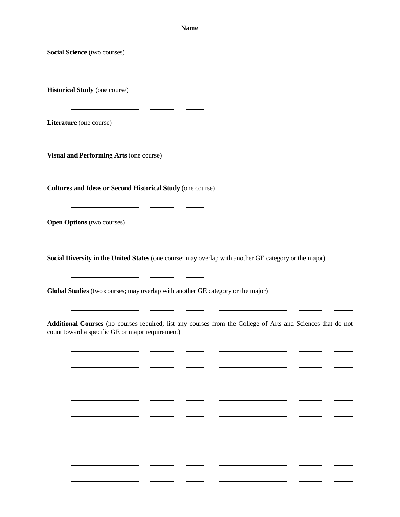|                                                                                 | Name_                                                                                                       |
|---------------------------------------------------------------------------------|-------------------------------------------------------------------------------------------------------------|
| Social Science (two courses)                                                    |                                                                                                             |
| <b>Historical Study</b> (one course)<br><u> 1989 - Johann Barbara, martin a</u> |                                                                                                             |
| Literature (one course)                                                         |                                                                                                             |
| Visual and Performing Arts (one course)                                         |                                                                                                             |
| <b>Cultures and Ideas or Second Historical Study (one course)</b>               |                                                                                                             |
| <b>Open Options</b> (two courses)                                               |                                                                                                             |
|                                                                                 | Social Diversity in the United States (one course; may overlap with another GE category or the major)       |
| Global Studies (two courses; may overlap with another GE category or the major) |                                                                                                             |
| count toward a specific GE or major requirement)                                | Additional Courses (no courses required; list any courses from the College of Arts and Sciences that do not |
|                                                                                 |                                                                                                             |
|                                                                                 |                                                                                                             |
|                                                                                 |                                                                                                             |
|                                                                                 |                                                                                                             |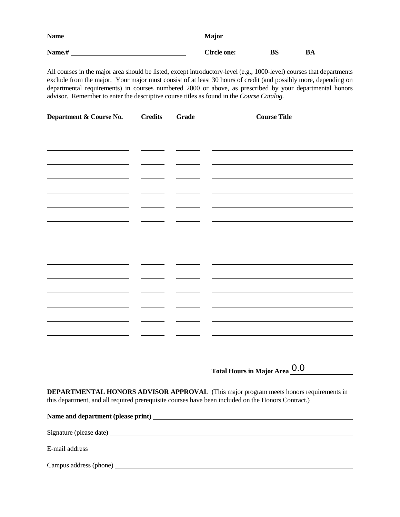| <b>Name</b> | <b>Major</b>       |    |    |
|-------------|--------------------|----|----|
| Name.#      | <b>Circle one:</b> | BS | BA |

All courses in the major area should be listed, except introductory-level (e.g., 1000-level) courses that departments exclude from the major. Your major must consist of at least 30 hours of credit (and possibly more, depending on departmental requirements) in courses numbered 2000 or above, as prescribed by your departmental honors advisor. Remember to enter the descriptive course titles as found in the *Course Catalog.*

| Department & Course No. | <b>Credits</b> | <b>Grade</b> | <b>Course Title</b> |
|-------------------------|----------------|--------------|---------------------|
|                         |                |              |                     |
|                         |                |              |                     |
|                         |                |              |                     |
|                         |                |              |                     |
|                         |                |              |                     |
|                         |                |              |                     |
|                         |                |              |                     |
|                         |                |              |                     |
|                         |                |              |                     |
|                         |                |              |                     |
|                         |                |              |                     |
|                         |                |              |                     |
|                         |                |              |                     |
|                         |                |              |                     |

**Total Hours in Majo**r **Area** 0.0

**DEPARTMENTAL HONORS ADVISOR APPROVAL** (This major program meets honors requirements in this department, and all required prerequisite courses have been included on the Honors Contract.)

**Name and department (please print)**  Signature (please date) E-mail address Campus address (phone)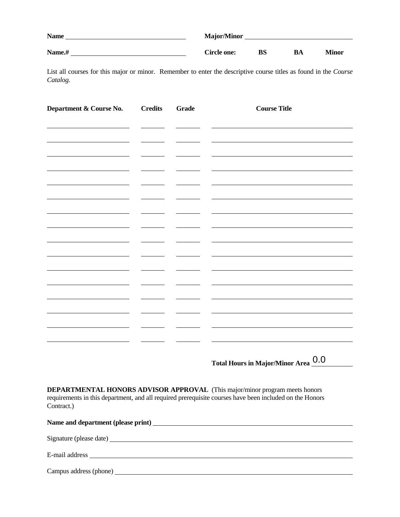| <b>Name</b> | <b>Major/Minor</b> |    |    |              |
|-------------|--------------------|----|----|--------------|
| Name.#      | Circle one:        | BS | BA | <b>Minor</b> |

List all courses for this major or minor. Remember to enter the descriptive course titles as found in the *Course Catalog.*

| Department & Course No. | <b>Credits</b> | Grade | <b>Course Title</b> |
|-------------------------|----------------|-------|---------------------|
|                         |                |       |                     |
|                         |                |       |                     |
|                         |                |       |                     |
|                         |                |       |                     |
|                         |                |       |                     |
|                         |                |       |                     |
|                         |                |       |                     |
|                         |                |       |                     |
|                         |                |       |                     |
|                         |                |       |                     |
|                         |                |       |                     |
|                         |                |       |                     |
|                         |                |       |                     |
|                         |                |       |                     |
|                         |                |       |                     |

**Total Hours in Major/Minor Area** 0.0

**DEPARTMENTAL HONORS ADVISOR APPROVAL** (This major/minor program meets honors requirements in this department, and all required prerequisite courses have been included on the Honors Contract.)

| Name and department (please print) |
|------------------------------------|
|                                    |
|                                    |
|                                    |
| Campus address (phone)             |